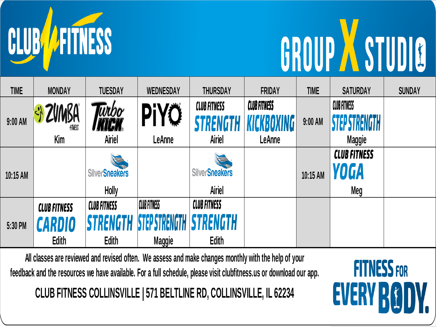

## GROUP A STUDIO

**FITNESS FOR** 

**EVERY RO** 

| <b>TIME</b> | <b>MONDAY</b>       | <b>TUESDAY</b>        | <b>WEDNESDAY</b>       | <b>THURSDAY</b>       | <b>FRIDAY</b>       | <b>TIME</b> | <b>SATURDAY</b>                      | <b>SUNDAY</b> |
|-------------|---------------------|-----------------------|------------------------|-----------------------|---------------------|-------------|--------------------------------------|---------------|
| $9:00$ AM   | ZVMBA<br>finess     | īrbo                  | PiYÖ                   | <b>CLUB FITNESS</b>   | <b>CLUB FITNESS</b> | $9:00$ AM   | CLUB FITNESS<br><b>STED STRENGTH</b> |               |
|             | Kim                 | <b>Airiel</b>         | LeAnne                 | Airiel                | LeAnne              |             | <b>Maggie</b>                        |               |
|             |                     |                       |                        |                       |                     |             | <b>CLUB FITNESS</b>                  |               |
| 10:15 AM    |                     | <b>SilverSneakers</b> |                        | <b>SilverSneakers</b> |                     | 10:15 AM    | YOGA                                 |               |
|             |                     | Holly                 |                        | Airiel                |                     |             | Meg                                  |               |
| 5:30 PM     | <b>CLUB FITNESS</b> | <b>CLUB FITNESS</b>   | <b>CLUB FITNESS</b>    | <b>CLUB FITNESS</b>   |                     |             |                                      |               |
|             | CARDIO              | TRENGTH               | <b>KTEP STRENGTH I</b> | <b>ISTRENGTH</b>      |                     |             |                                      |               |
|             | <b>Edith</b>        | Edith                 | <b>Maggie</b>          | <b>Edith</b>          |                     |             |                                      |               |

**All classes are reviewed and revised often. We assess and make changes monthly with the help of your feedback and the resources we have available. For a full schedule, please visit clubfitness.us or download our app.**

**CLUB FITNESS COLLINSVILLE | 571 BELTLINE RD, COLLINSVILLE, IL 62234**